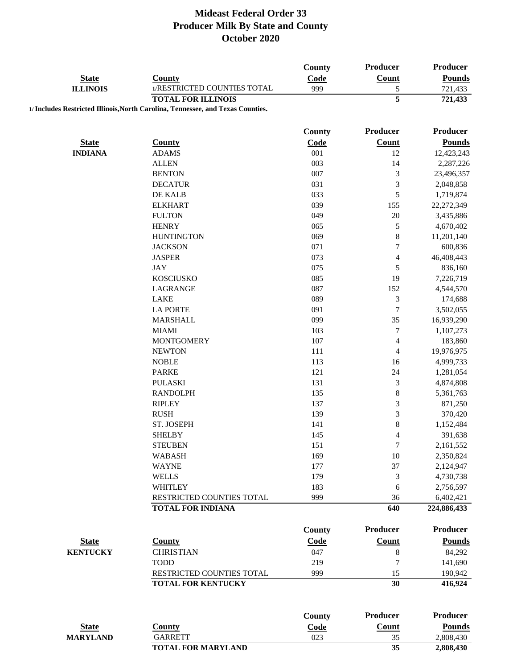|                 |                                                                                 | County        | Producer                 | Producer        |
|-----------------|---------------------------------------------------------------------------------|---------------|--------------------------|-----------------|
| <b>State</b>    | <b>County</b>                                                                   | Code          | Count                    | <b>Pounds</b>   |
| <b>ILLINOIS</b> | 1/RESTRICTED COUNTIES TOTAL                                                     | 999           | 5                        | 721,433         |
|                 | <b>TOTAL FOR ILLINOIS</b>                                                       |               | $\overline{5}$           | 721,433         |
|                 | 1/ Includes Restricted Illinois, North Carolina, Tennessee, and Texas Counties. |               |                          |                 |
|                 |                                                                                 | <b>County</b> | Producer                 | Producer        |
| <b>State</b>    | <b>County</b>                                                                   | Code          | <b>Count</b>             | <b>Pounds</b>   |
| <b>INDIANA</b>  | <b>ADAMS</b>                                                                    | 001           | 12                       | 12,423,243      |
|                 | <b>ALLEN</b>                                                                    | 003           | 14                       | 2,287,226       |
|                 | <b>BENTON</b>                                                                   | 007           | 3                        | 23,496,357      |
|                 | <b>DECATUR</b>                                                                  | 031           | 3                        | 2,048,858       |
|                 | DE KALB                                                                         | 033           | 5                        | 1,719,874       |
|                 | <b>ELKHART</b>                                                                  | 039           | 155                      | 22,272,349      |
|                 | <b>FULTON</b>                                                                   | 049           | 20                       | 3,435,886       |
|                 | <b>HENRY</b>                                                                    | 065           | 5                        | 4,670,402       |
|                 | <b>HUNTINGTON</b>                                                               | 069           | 8                        | 11,201,140      |
|                 | <b>JACKSON</b>                                                                  | 071           | 7                        | 600,836         |
|                 | <b>JASPER</b>                                                                   | 073           | $\overline{\mathcal{L}}$ | 46,408,443      |
|                 | <b>JAY</b>                                                                      | 075           | 5                        | 836,160         |
|                 | <b>KOSCIUSKO</b>                                                                | 085           | 19                       | 7,226,719       |
|                 | LAGRANGE                                                                        | 087           | 152                      | 4,544,570       |
|                 | <b>LAKE</b>                                                                     | 089           | 3                        | 174,688         |
|                 | <b>LA PORTE</b>                                                                 | 091           | $\overline{7}$           | 3,502,055       |
|                 | <b>MARSHALL</b>                                                                 | 099           | 35                       |                 |
|                 | <b>MIAMI</b>                                                                    | 103           | 7                        | 16,939,290      |
|                 |                                                                                 | 107           |                          | 1,107,273       |
|                 | <b>MONTGOMERY</b>                                                               |               | 4                        | 183,860         |
|                 | <b>NEWTON</b>                                                                   | 111           | 4                        | 19,976,975      |
|                 | <b>NOBLE</b>                                                                    | 113           | 16                       | 4,999,733       |
|                 | <b>PARKE</b>                                                                    | 121           | 24                       | 1,281,054       |
|                 | <b>PULASKI</b>                                                                  | 131           | 3                        | 4,874,808       |
|                 | <b>RANDOLPH</b>                                                                 | 135           | 8                        | 5,361,763       |
|                 | <b>RIPLEY</b>                                                                   | 137           | 3                        | 871,250         |
|                 | <b>RUSH</b>                                                                     | 139           | 3                        | 370,420         |
|                 | ST. JOSEPH                                                                      | 141           | 8                        | 1,152,484       |
|                 | <b>SHELBY</b>                                                                   | 145           | $\overline{4}$           | 391,638         |
|                 | <b>STEUBEN</b>                                                                  | 151           | 7                        | 2,161,552       |
|                 | <b>WABASH</b>                                                                   | 169           | 10                       | 2,350,824       |
|                 | <b>WAYNE</b>                                                                    | 177           | 37                       | 2,124,947       |
|                 | <b>WELLS</b>                                                                    | 179           | 3                        | 4,730,738       |
|                 | <b>WHITLEY</b>                                                                  | 183           | 6                        | 2,756,597       |
|                 | RESTRICTED COUNTIES TOTAL                                                       | 999           | 36                       | 6,402,421       |
|                 | <b>TOTAL FOR INDIANA</b>                                                        |               | 640                      | 224,886,433     |
|                 |                                                                                 | County        | <b>Producer</b>          | <b>Producer</b> |
| <b>State</b>    | <b>County</b>                                                                   | Code          | <b>Count</b>             | <b>Pounds</b>   |
| <b>KENTUCKY</b> | <b>CHRISTIAN</b>                                                                | 047           | $\,8\,$                  | 84,292          |
|                 | <b>TODD</b>                                                                     | 219           | 7                        | 141,690         |
|                 | RESTRICTED COUNTIES TOTAL                                                       | 999           | 15                       | 190,942         |
|                 | <b>TOTAL FOR KENTUCKY</b>                                                       |               | 30                       | 416,924         |
|                 |                                                                                 |               |                          |                 |
|                 |                                                                                 | <b>County</b> | <b>Producer</b>          | <b>Producer</b> |
| <b>State</b>    | <b>County</b>                                                                   | Code          | <b>Count</b>             | <b>Pounds</b>   |
| <b>MARYLAND</b> | <b>GARRETT</b>                                                                  | 023           | 35                       | 2,808,430       |
|                 | <b>TOTAL FOR MARYLAND</b>                                                       |               | 35                       | 2,808,430       |
|                 |                                                                                 |               |                          |                 |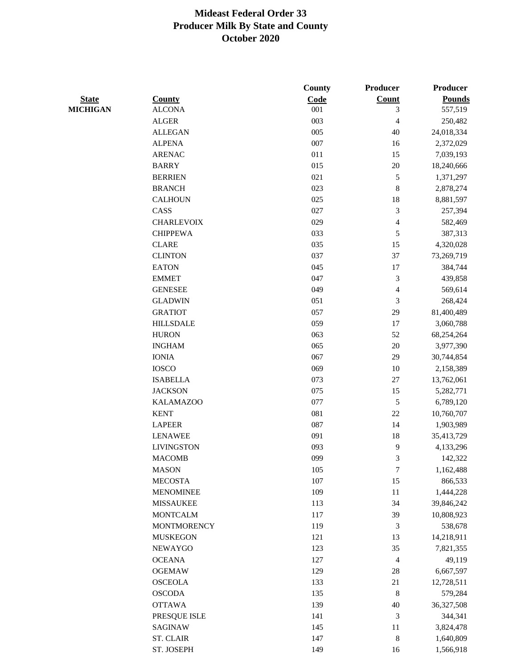|                 |                    | County | Producer                 | Producer      |
|-----------------|--------------------|--------|--------------------------|---------------|
| <b>State</b>    | <b>County</b>      | Code   | <b>Count</b>             | <b>Pounds</b> |
| <b>MICHIGAN</b> | <b>ALCONA</b>      | 001    | $\mathfrak{Z}$           | 557,519       |
|                 | <b>ALGER</b>       | 003    | $\overline{\mathcal{L}}$ | 250,482       |
|                 | <b>ALLEGAN</b>     | 005    | 40                       | 24,018,334    |
|                 | <b>ALPENA</b>      | 007    | 16                       | 2,372,029     |
|                 | <b>ARENAC</b>      | 011    | 15                       | 7,039,193     |
|                 | <b>BARRY</b>       | 015    | $20\,$                   | 18,240,666    |
|                 | <b>BERRIEN</b>     | 021    | 5                        | 1,371,297     |
|                 | <b>BRANCH</b>      | 023    | 8                        | 2,878,274     |
|                 | <b>CALHOUN</b>     | 025    | 18                       | 8,881,597     |
|                 | CASS               | 027    | 3                        | 257,394       |
|                 | <b>CHARLEVOIX</b>  | 029    | $\overline{4}$           | 582,469       |
|                 | <b>CHIPPEWA</b>    | 033    | 5                        | 387,313       |
|                 | <b>CLARE</b>       | 035    | 15                       | 4,320,028     |
|                 | <b>CLINTON</b>     | 037    | 37                       | 73,269,719    |
|                 | <b>EATON</b>       | 045    | 17                       | 384,744       |
|                 | <b>EMMET</b>       | 047    | 3                        | 439,858       |
|                 | <b>GENESEE</b>     | 049    | $\overline{\mathcal{L}}$ | 569,614       |
|                 | <b>GLADWIN</b>     | 051    | $\mathfrak{Z}$           | 268,424       |
|                 | <b>GRATIOT</b>     | 057    | 29                       | 81,400,489    |
|                 | <b>HILLSDALE</b>   | 059    | 17                       | 3,060,788     |
|                 | <b>HURON</b>       | 063    | 52                       | 68,254,264    |
|                 | <b>INGHAM</b>      | 065    | $20\,$                   | 3,977,390     |
|                 | <b>IONIA</b>       | 067    | 29                       | 30,744,854    |
|                 | <b>IOSCO</b>       | 069    | 10                       | 2,158,389     |
|                 | <b>ISABELLA</b>    | 073    | $27\,$                   | 13,762,061    |
|                 | <b>JACKSON</b>     | 075    | 15                       | 5,282,771     |
|                 | <b>KALAMAZOO</b>   | 077    | 5                        | 6,789,120     |
|                 | <b>KENT</b>        | 081    | 22                       | 10,760,707    |
|                 | <b>LAPEER</b>      | 087    | 14                       | 1,903,989     |
|                 | <b>LENAWEE</b>     | 091    | 18                       | 35,413,729    |
|                 | <b>LIVINGSTON</b>  | 093    | 9                        | 4,133,296     |
|                 | <b>MACOMB</b>      | 099    | 3                        | 142,322       |
|                 | <b>MASON</b>       | 105    | $\sqrt{ }$               | 1,162,488     |
|                 | <b>MECOSTA</b>     | 107    | 15                       | 866,533       |
|                 | <b>MENOMINEE</b>   | 109    | $11\,$                   | 1,444,228     |
|                 | <b>MISSAUKEE</b>   | 113    | 34                       | 39,846,242    |
|                 | <b>MONTCALM</b>    | 117    | 39                       | 10,808,923    |
|                 | <b>MONTMORENCY</b> | 119    | $\mathfrak{Z}$           | 538,678       |
|                 | <b>MUSKEGON</b>    | 121    | 13                       | 14,218,911    |
|                 | NEWAYGO            | 123    | 35                       | 7,821,355     |
|                 | <b>OCEANA</b>      | 127    | $\overline{\mathcal{A}}$ | 49,119        |
|                 | <b>OGEMAW</b>      | 129    | 28                       | 6,667,597     |
|                 | <b>OSCEOLA</b>     | 133    | 21                       | 12,728,511    |
|                 | <b>OSCODA</b>      | 135    | $\,$ 8 $\,$              | 579,284       |
|                 | <b>OTTAWA</b>      | 139    | $40\,$                   | 36,327,508    |
|                 | PRESQUE ISLE       | 141    | $\sqrt{3}$               | 344,341       |
|                 | <b>SAGINAW</b>     | 145    | 11                       | 3,824,478     |
|                 | <b>ST. CLAIR</b>   | 147    | 8                        | 1,640,809     |
|                 | ST. JOSEPH         | 149    | 16                       | 1,566,918     |
|                 |                    |        |                          |               |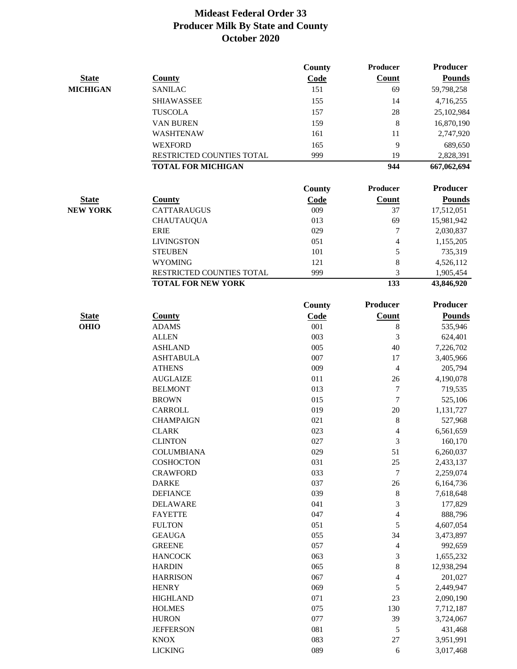|                 |                                                        | County      | <b>Producer</b> | <b>Producer</b>         |
|-----------------|--------------------------------------------------------|-------------|-----------------|-------------------------|
| <b>State</b>    | <b>County</b>                                          | Code        | <b>Count</b>    | <b>Pounds</b>           |
| <b>MICHIGAN</b> | <b>SANILAC</b>                                         | 151         | 69              | 59,798,258              |
|                 | <b>SHIAWASSEE</b>                                      | 155         | 14              | 4,716,255               |
|                 | <b>TUSCOLA</b>                                         | 157         | 28              | 25,102,984              |
|                 | <b>VAN BUREN</b>                                       | 159         | $\bf 8$         | 16,870,190              |
|                 | <b>WASHTENAW</b>                                       | 161         | 11              | 2,747,920               |
|                 | <b>WEXFORD</b>                                         | 165         | 9               | 689,650                 |
|                 | RESTRICTED COUNTIES TOTAL                              | 999         | 19              | 2,828,391               |
|                 | <b>TOTAL FOR MICHIGAN</b>                              |             | 944             | 667,062,694             |
|                 |                                                        |             |                 |                         |
|                 |                                                        | County      | Producer        | <b>Producer</b>         |
| <b>State</b>    | <b>County</b>                                          | Code        | <b>Count</b>    | <b>Pounds</b>           |
| <b>NEW YORK</b> | <b>CATTARAUGUS</b>                                     | 009         | 37              | 17,512,051              |
|                 | <b>CHAUTAUQUA</b>                                      | 013         | 69              | 15,981,942              |
|                 | <b>ERIE</b>                                            | 029         | 7               | 2,030,837               |
|                 | <b>LIVINGSTON</b>                                      | 051         | $\overline{4}$  | 1,155,205               |
|                 | <b>STEUBEN</b>                                         | 101         | 5               | 735,319                 |
|                 | <b>WYOMING</b>                                         | 121         | $\bf 8$         | 4,526,112               |
|                 | RESTRICTED COUNTIES TOTAL<br><b>TOTAL FOR NEW YORK</b> | 999         | 3<br>133        | 1,905,454<br>43,846,920 |
|                 |                                                        |             |                 |                         |
|                 |                                                        | County      | <b>Producer</b> | <b>Producer</b>         |
| <b>State</b>    | <b>County</b>                                          | <b>Code</b> | <b>Count</b>    | <b>Pounds</b>           |
| <b>OHIO</b>     | <b>ADAMS</b>                                           | 001         | $\,8\,$         | 535,946                 |
|                 | <b>ALLEN</b>                                           | 003         | 3               | 624,401                 |
|                 | <b>ASHLAND</b>                                         | 005         | 40              | 7,226,702               |
|                 | <b>ASHTABULA</b>                                       | 007         | 17              | 3,405,966               |
|                 | <b>ATHENS</b>                                          | 009         | $\overline{4}$  | 205,794                 |
|                 | <b>AUGLAIZE</b>                                        | 011         | 26              | 4,190,078               |
|                 | <b>BELMONT</b>                                         | 013         | 7<br>7          | 719,535                 |
|                 | <b>BROWN</b><br><b>CARROLL</b>                         | 015<br>019  | 20              | 525,106                 |
|                 | <b>CHAMPAIGN</b>                                       | 021         | $\,8\,$         | 1,131,727<br>527,968    |
|                 | <b>CLARK</b>                                           | 023         | $\overline{4}$  | 6,561,659               |
|                 | <b>CLINTON</b>                                         | 027         |                 | 160,170                 |
|                 | <b>COLUMBIANA</b>                                      | 029         | 3<br>51         | 6,260,037               |
|                 | <b>COSHOCTON</b>                                       | 031         | 25              | 2,433,137               |
|                 | <b>CRAWFORD</b>                                        | 033         | 7               | 2,259,074               |
|                 | <b>DARKE</b>                                           | 037         | 26              | 6,164,736               |
|                 | <b>DEFIANCE</b>                                        | 039         | $\,$ 8 $\,$     | 7,618,648               |
|                 | <b>DELAWARE</b>                                        | 041         | 3               | 177,829                 |
|                 | <b>FAYETTE</b>                                         | 047         | 4               | 888,796                 |
|                 | <b>FULTON</b>                                          | 051         | 5               | 4,607,054               |
|                 | <b>GEAUGA</b>                                          | 055         | 34              | 3,473,897               |
|                 | <b>GREENE</b>                                          | 057         | $\overline{4}$  | 992,659                 |
|                 | <b>HANCOCK</b>                                         | 063         | 3               | 1,655,232               |
|                 | <b>HARDIN</b>                                          | 065         | $\,8\,$         | 12,938,294              |
|                 | <b>HARRISON</b>                                        | 067         | 4               | 201,027                 |
|                 | <b>HENRY</b>                                           | 069         | 5               | 2,449,947               |
|                 | <b>HIGHLAND</b>                                        | 071         | 23              | 2,090,190               |
|                 | <b>HOLMES</b>                                          | 075         | 130             | 7,712,187               |
|                 | <b>HURON</b>                                           | 077         | 39              | 3,724,067               |
|                 | <b>JEFFERSON</b>                                       | 081         | 5               | 431,468                 |
|                 | <b>KNOX</b>                                            | 083         | $27\,$          | 3,951,991               |
|                 | <b>LICKING</b>                                         | 089         | $\sqrt{6}$      | 3,017,468               |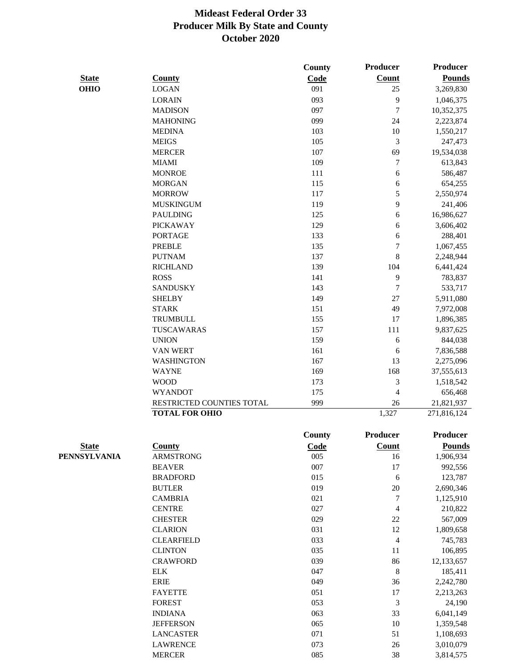|              |                           | County | <b>Producer</b>  | <b>Producer</b> |
|--------------|---------------------------|--------|------------------|-----------------|
| <b>State</b> | <b>County</b>             | Code   | Count            | <b>Pounds</b>   |
| <b>OHIO</b>  | <b>LOGAN</b>              | 091    | 25               | 3,269,830       |
|              | <b>LORAIN</b>             | 093    | 9                | 1,046,375       |
|              | <b>MADISON</b>            | 097    | $\tau$           | 10,352,375      |
|              | <b>MAHONING</b>           | 099    | 24               | 2,223,874       |
|              | <b>MEDINA</b>             | 103    | $10\,$           | 1,550,217       |
|              | <b>MEIGS</b>              | 105    | $\mathfrak{Z}$   | 247,473         |
|              | <b>MERCER</b>             | 107    | 69               | 19,534,038      |
|              | <b>MIAMI</b>              | 109    | $\tau$           | 613,843         |
|              | <b>MONROE</b>             | 111    | 6                | 586,487         |
|              | <b>MORGAN</b>             | 115    | $\sqrt{6}$       | 654,255         |
|              | <b>MORROW</b>             | 117    | 5                | 2,550,974       |
|              | <b>MUSKINGUM</b>          | 119    | 9                | 241,406         |
|              | <b>PAULDING</b>           | 125    | $\sqrt{6}$       | 16,986,627      |
|              | <b>PICKAWAY</b>           | 129    | $\sqrt{6}$       | 3,606,402       |
|              | <b>PORTAGE</b>            | 133    | 6                | 288,401         |
|              | <b>PREBLE</b>             | 135    | $\boldsymbol{7}$ | 1,067,455       |
|              | <b>PUTNAM</b>             | 137    | $\,8\,$          | 2,248,944       |
|              | <b>RICHLAND</b>           | 139    | 104              | 6,441,424       |
|              | <b>ROSS</b>               | 141    | $\mathbf{9}$     | 783,837         |
|              | <b>SANDUSKY</b>           | 143    | $\tau$           | 533,717         |
|              | <b>SHELBY</b>             | 149    | $27\,$           | 5,911,080       |
|              | <b>STARK</b>              | 151    | 49               | 7,972,008       |
|              | <b>TRUMBULL</b>           | 155    | 17               | 1,896,385       |
|              | TUSCAWARAS                | 157    | 111              | 9,837,625       |
|              | <b>UNION</b>              | 159    | 6                | 844,038         |
|              | <b>VAN WERT</b>           | 161    | 6                | 7,836,588       |
|              | <b>WASHINGTON</b>         | 167    | 13               | 2,275,096       |
|              | <b>WAYNE</b>              | 169    | 168              | 37,555,613      |
|              | <b>WOOD</b>               | 173    | $\mathfrak 3$    | 1,518,542       |
|              | <b>WYANDOT</b>            | 175    | $\overline{4}$   | 656,468         |
|              | RESTRICTED COUNTIES TOTAL | 999    | $26\,$           | 21,821,937      |
|              | <b>TOTAL FOR OHIO</b>     |        | 1,327            | 271,816,124     |
|              |                           |        | Producer         | Producer        |
|              |                           | County |                  |                 |
| <b>State</b> | <b>County</b>             | Code   | <b>Count</b>     | <b>Pounds</b>   |
| PENNSYLVANIA | <b>ARMSTRONG</b>          | 005    | 16               | 1,906,934       |
|              | <b>BEAVER</b>             | 007    | 17               | 992,556         |
|              | <b>BRADFORD</b>           | 015    | $\sqrt{6}$       | 123,787         |
|              | <b>BUTLER</b>             | 019    | $20\,$           | 2,690,346       |
|              | <b>CAMBRIA</b>            | 021    | 7                | 1,125,910       |
|              | <b>CENTRE</b>             | 027    | $\overline{4}$   | 210,822         |
|              | <b>CHESTER</b>            | 029    | $22\,$           | 567,009         |
|              | <b>CLARION</b>            | 031    | 12               | 1,809,658       |
|              | <b>CLEARFIELD</b>         | 033    | $\overline{4}$   | 745,783         |
|              | <b>CLINTON</b>            | 035    | 11               | 106,895         |
|              | <b>CRAWFORD</b>           | 039    | 86               | 12,133,657      |
|              | <b>ELK</b>                | 047    | $\,$ $\,$        | 185,411         |
|              | <b>ERIE</b>               | 049    | 36               | 2,242,780       |
|              | <b>FAYETTE</b>            | 051    | 17               | 2,213,263       |
|              | <b>FOREST</b>             | 053    | $\mathfrak{Z}$   | 24,190          |
|              | <b>INDIANA</b>            | 063    | 33               | 6,041,149       |

JEFFERSON 065 10 1,359,548 LANCASTER 071 51 1,108,693 LAWRENCE 073 26 3,010,079 MERCER 085 3,814,575